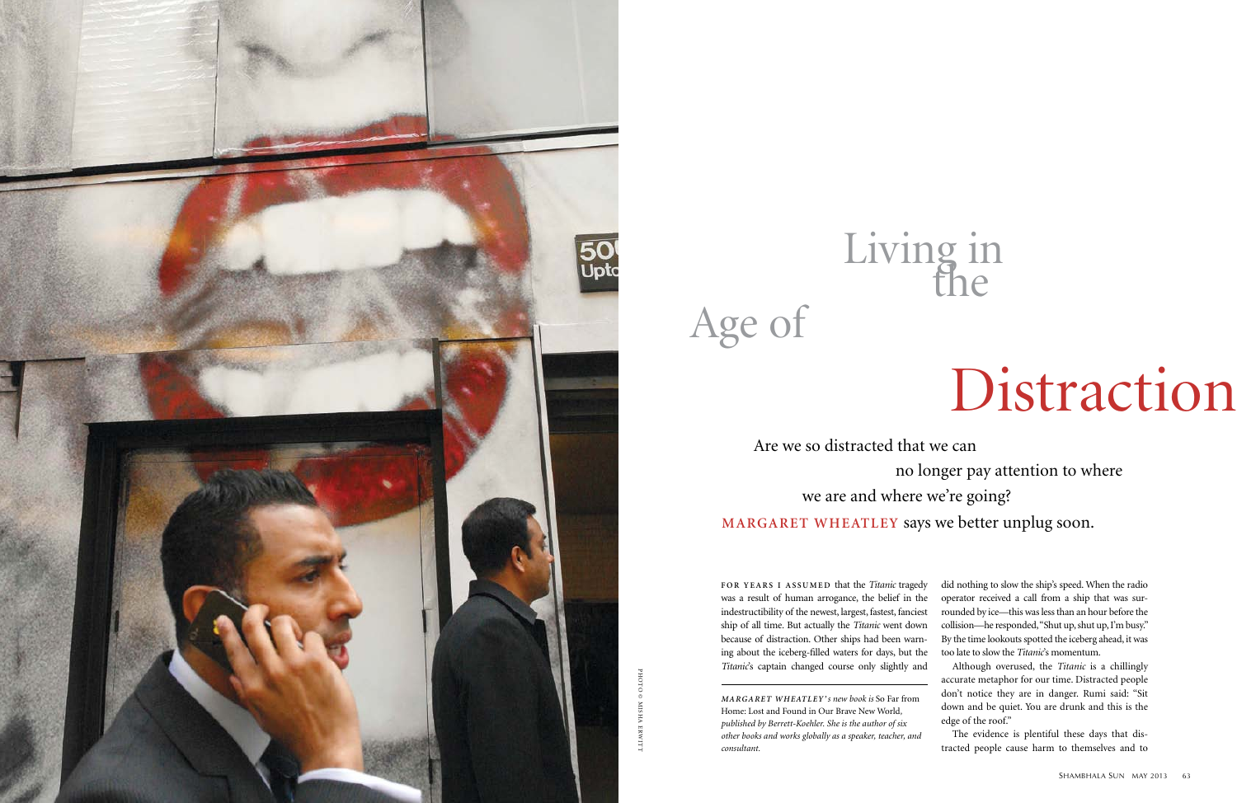FOR YEARS I ASSUMED that the *Titanic* tragedy was a result of human arrogance, the belief in the indestructibility of the newest, largest, fastest, fanciest ship of all time*.* But actually the *Titanic* went down because of distraction. Other ships had been warning about the iceberg-filled waters for days, but the *Titanic*'s captain changed course only slightly and did nothing to slow the ship's speed. When the radio operator received a call from a ship that was surrounded by ice—this was less than an hour before the collision—he responded, "Shut up, shut up, I'm busy." By the time lookouts spotted the iceberg ahead, it was too late to slow the *Titanic*'s momentum.

Although overused, the *Titanic* is a chillingly accurate metaphor for our time. Distracted people don't notice they are in danger. Rumi said: "Sit down and be quiet. You are drunk and this is the edge of the roof."

The evidence is plentiful these days that distracted people cause harm to themselves and to

 Are we so distracted that we can no longer pay attention to where we are and where we're going? **Margaret Wheatley** says we better unplug soon.

# Age of

## Distraction

## Living in the

*M a rg a r e t W h e at l e y 's new book is* So Far from Home: Lost and Found in Our Brave New World*, published by Berrett-Koehler. She is the author of six other books and works globally as a speaker, teacher, and consultant.*

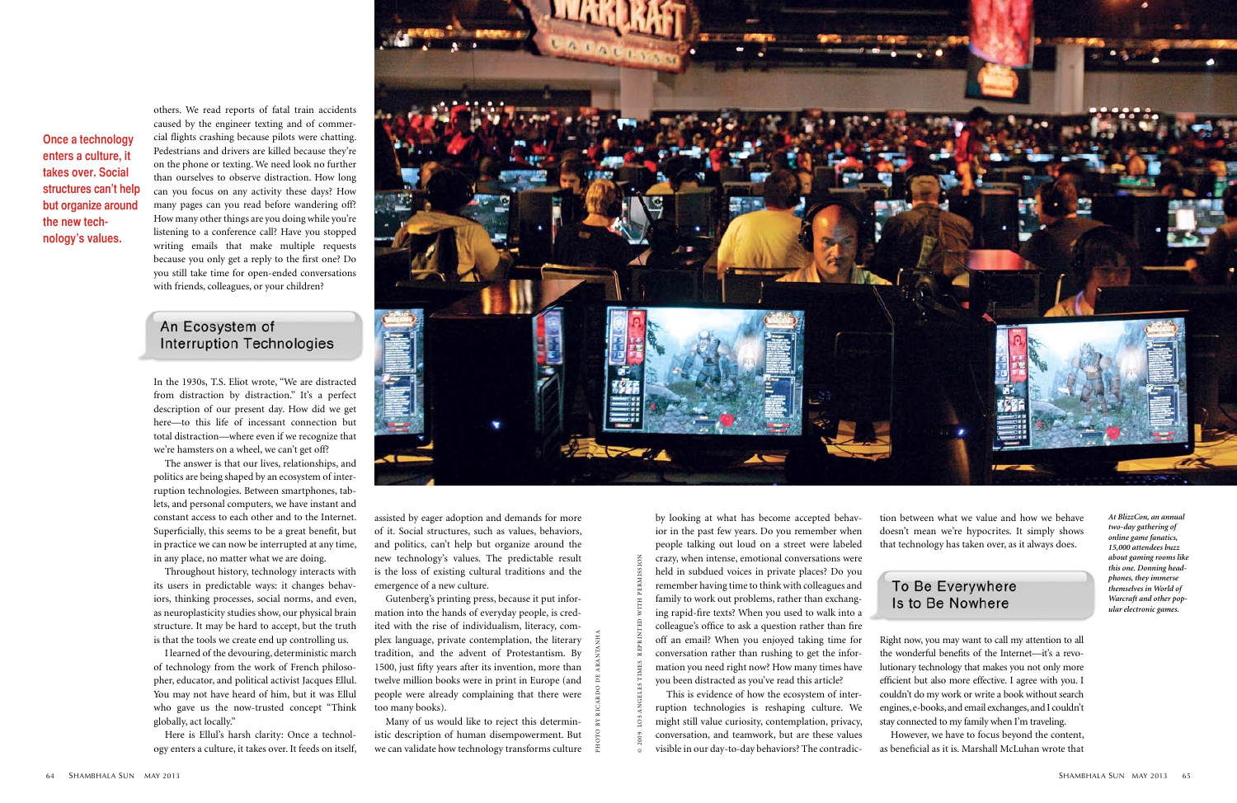## To Be Everywhere Is to Be Nowhere

others. We read reports of fatal train accidents caused by the engineer texting and of commercial flights crashing because pilots were chatting. Pedestrians and drivers are killed because they're on the phone or texting. We need look no further than ourselves to observe distraction. How long can you focus on any activity these days? How many pages can you read before wandering off? How many other things are you doing while you're listening to a conference call? Have you stopped writing emails that make multiple requests because you only get a reply to the first one? Do you still take time for open-ended conversations with friends, colleagues, or your children?

## An Ecosystem of **Interruption Technologies**

In the 1930s, T.S. Eliot wrote, "We are distracted from distraction by distraction." It's a perfect description of our present day. How did we get here—to this life of incessant connection but total distraction—where even if we recognize that we're hamsters on a wheel, we can't get off?

The answer is that our lives, relationships, and politics are being shaped by an ecosystem of interruption technologies. Between smartphones, tablets, and personal computers, we have instant and constant access to each other and to the Internet. Superficially, this seems to be a great benefit, but in practice we can now be interrupted at any time, in any place, no matter what we are doing.

Throughout history, technology interacts with its users in predictable ways: it changes behaviors, thinking processes, social norms, and even, as neuroplasticity studies show, our physical brain structure. It may be hard to accept, but the truth is that the tools we create end up controlling us.

I learned of the devouring, deterministic march of technology from the work of French philosopher, educator, and political activist Jacques Ellul. You may not have heard of him, but it was Ellul who gave us the now-trusted concept "Think globally, act locally."

Here is Ellul's harsh clarity: Once a technology enters a culture, it takes over. It feeds on itself,



assisted by eager adoption and demands for more of it. Social structures, such as values, behaviors, and politics, can't help but organize around the new technology's values. The predictable result is the loss of existing cultural traditions and the emergence of a new culture.

Gutenberg's printing press, because it put information into the hands of everyday people, is credited with the rise of individualism, literacy, complex language, private contemplation, the literary tradition, and the advent of Protestantism. By 1500, just fifty years after its invention, more than twelve million books were in print in Europe (and people were already complaining that there were too many books).

Many of us would like to reject this deterministic description of human disempowerment. But we can validate how technology transforms culture by looking at what has become accepted behavior in the past few years. Do you remember when people talking out loud on a street were labeled crazy, when intense, emotional conversations were held in subdued voices in private places? Do you remember having time to think with colleagues and family to work out problems, rather than exchanging rapid-fire texts? When you used to walk into a colleague's office to ask a question rather than fire off an email? When you enjoyed taking time for conversation rather than rushing to get the information you need right now? How many times have you been distracted as you've read this article?

This is evidence of how the ecosystem of interruption technologies is reshaping culture. We might still value curiosity, contemplation, privacy, conversation, and teamwork, but are these values visible in our day-to-day behaviors? The contradiction between what we value and how we behave doesn't mean we're hypocrites. It simply shows that technology has taken over, as it always does.

Right now, you may want to call my attention to all the wonderful benefits of the Internet—it's a revolutionary technology that makes you not only more efficient but also more effective. I agree with you. I couldn't do my work or write a book without search engines, e-books, and email exchanges, and I couldn't stay connected to my family when I'm traveling.

However, we have to focus beyond the content, as beneficial as it is. Marshall McLuhan wrote that

**Once a technology enters a culture, it takes over. Social structures can't help but organize around the new technology's values.**

© 2009. Los Angeles Times. Reprinted with permission

photo by ricardo de arantanha

*At BlizzCon, an annual two-day gathering of online game fanatics, 15,000 attendees buzz about gaming rooms like this one. Donning headphones, they immerse themselves in World of Warcraft and other popular electronic games.*